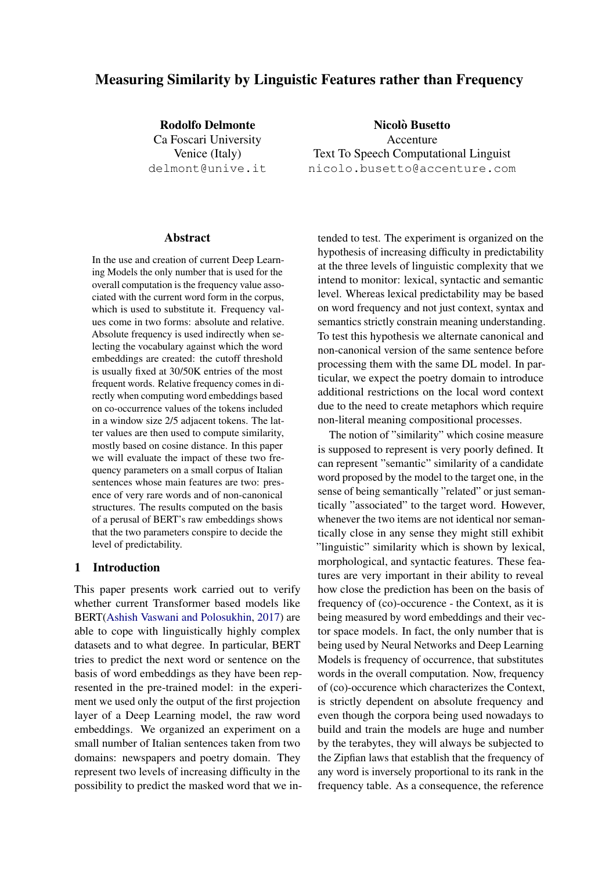# Measuring Similarity by Linguistic Features rather than Frequency

Rodolfo Delmonte Ca Foscari University Venice (Italy) delmont@unive.it

Abstract

In the use and creation of current Deep Learning Models the only number that is used for the overall computation is the frequency value associated with the current word form in the corpus, which is used to substitute it. Frequency values come in two forms: absolute and relative. Absolute frequency is used indirectly when selecting the vocabulary against which the word embeddings are created: the cutoff threshold is usually fixed at 30/50K entries of the most frequent words. Relative frequency comes in directly when computing word embeddings based on co-occurrence values of the tokens included in a window size 2/5 adjacent tokens. The latter values are then used to compute similarity, mostly based on cosine distance. In this paper we will evaluate the impact of these two frequency parameters on a small corpus of Italian sentences whose main features are two: presence of very rare words and of non-canonical structures. The results computed on the basis of a perusal of BERT's raw embeddings shows that the two parameters conspire to decide the level of predictability.

### 1 Introduction

This paper presents work carried out to verify whether current Transformer based models like BERT[\(Ashish Vaswani and Polosukhin,](#page-9-0) [2017\)](#page-9-0) are able to cope with linguistically highly complex datasets and to what degree. In particular, BERT tries to predict the next word or sentence on the basis of word embeddings as they have been represented in the pre-trained model: in the experiment we used only the output of the first projection layer of a Deep Learning model, the raw word embeddings. We organized an experiment on a small number of Italian sentences taken from two domains: newspapers and poetry domain. They represent two levels of increasing difficulty in the possibility to predict the masked word that we in-

Nicolò Busetto Accenture Text To Speech Computational Linguist nicolo.busetto@accenture.com

tended to test. The experiment is organized on the hypothesis of increasing difficulty in predictability at the three levels of linguistic complexity that we intend to monitor: lexical, syntactic and semantic level. Whereas lexical predictability may be based on word frequency and not just context, syntax and semantics strictly constrain meaning understanding. To test this hypothesis we alternate canonical and non-canonical version of the same sentence before processing them with the same DL model. In particular, we expect the poetry domain to introduce additional restrictions on the local word context due to the need to create metaphors which require non-literal meaning compositional processes.

The notion of "similarity" which cosine measure is supposed to represent is very poorly defined. It can represent "semantic" similarity of a candidate word proposed by the model to the target one, in the sense of being semantically "related" or just semantically "associated" to the target word. However, whenever the two items are not identical nor semantically close in any sense they might still exhibit "linguistic" similarity which is shown by lexical, morphological, and syntactic features. These features are very important in their ability to reveal how close the prediction has been on the basis of frequency of (co)-occurence - the Context, as it is being measured by word embeddings and their vector space models. In fact, the only number that is being used by Neural Networks and Deep Learning Models is frequency of occurrence, that substitutes words in the overall computation. Now, frequency of (co)-occurence which characterizes the Context, is strictly dependent on absolute frequency and even though the corpora being used nowadays to build and train the models are huge and number by the terabytes, they will always be subjected to the Zipfian laws that establish that the frequency of any word is inversely proportional to its rank in the frequency table. As a consequence, the reference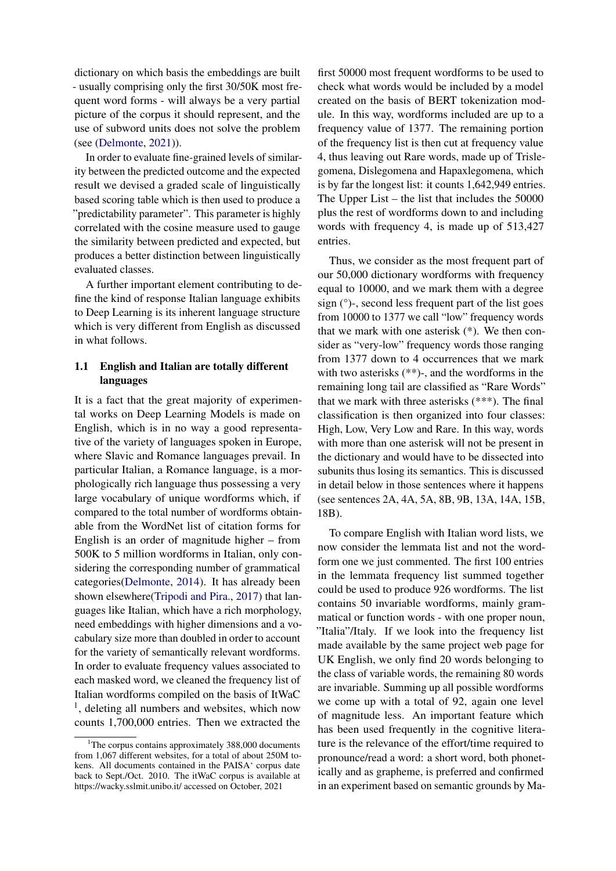dictionary on which basis the embeddings are built - usually comprising only the first 30/50K most frequent word forms - will always be a very partial picture of the corpus it should represent, and the use of subword units does not solve the problem (see [\(Delmonte,](#page-9-1) [2021\)](#page-9-1)).

In order to evaluate fine-grained levels of similarity between the predicted outcome and the expected result we devised a graded scale of linguistically based scoring table which is then used to produce a "predictability parameter". This parameter is highly correlated with the cosine measure used to gauge the similarity between predicted and expected, but produces a better distinction between linguistically evaluated classes.

A further important element contributing to define the kind of response Italian language exhibits to Deep Learning is its inherent language structure which is very different from English as discussed in what follows.

## 1.1 English and Italian are totally different languages

It is a fact that the great majority of experimental works on Deep Learning Models is made on English, which is in no way a good representative of the variety of languages spoken in Europe, where Slavic and Romance languages prevail. In particular Italian, a Romance language, is a morphologically rich language thus possessing a very large vocabulary of unique wordforms which, if compared to the total number of wordforms obtainable from the WordNet list of citation forms for English is an order of magnitude higher – from 500K to 5 million wordforms in Italian, only considering the corresponding number of grammatical categories[\(Delmonte,](#page-9-2) [2014\)](#page-9-2). It has already been shown elsewhere[\(Tripodi and Pira.,](#page-9-3) [2017\)](#page-9-3) that languages like Italian, which have a rich morphology, need embeddings with higher dimensions and a vocabulary size more than doubled in order to account for the variety of semantically relevant wordforms. In order to evaluate frequency values associated to each masked word, we cleaned the frequency list of Italian wordforms compiled on the basis of ItWaC <sup>[1](#page-1-0)</sup>, deleting all numbers and websites, which now counts 1,700,000 entries. Then we extracted the

first 50000 most frequent wordforms to be used to check what words would be included by a model created on the basis of BERT tokenization module. In this way, wordforms included are up to a frequency value of 1377. The remaining portion of the frequency list is then cut at frequency value 4, thus leaving out Rare words, made up of Trislegomena, Dislegomena and Hapaxlegomena, which is by far the longest list: it counts 1,642,949 entries. The Upper List – the list that includes the 50000 plus the rest of wordforms down to and including words with frequency 4, is made up of 513,427 entries.

Thus, we consider as the most frequent part of our 50,000 dictionary wordforms with frequency equal to 10000, and we mark them with a degree sign  $(°)$ -, second less frequent part of the list goes from 10000 to 1377 we call "low" frequency words that we mark with one asterisk (\*). We then consider as "very-low" frequency words those ranging from 1377 down to 4 occurrences that we mark with two asterisks (\*\*)-, and the wordforms in the remaining long tail are classified as "Rare Words" that we mark with three asterisks (\*\*\*). The final classification is then organized into four classes: High, Low, Very Low and Rare. In this way, words with more than one asterisk will not be present in the dictionary and would have to be dissected into subunits thus losing its semantics. This is discussed in detail below in those sentences where it happens (see sentences 2A, 4A, 5A, 8B, 9B, 13A, 14A, 15B, 18B).

To compare English with Italian word lists, we now consider the lemmata list and not the wordform one we just commented. The first 100 entries in the lemmata frequency list summed together could be used to produce 926 wordforms. The list contains 50 invariable wordforms, mainly grammatical or function words - with one proper noun, "Italia"/Italy. If we look into the frequency list made available by the same project web page for UK English, we only find 20 words belonging to the class of variable words, the remaining 80 words are invariable. Summing up all possible wordforms we come up with a total of 92, again one level of magnitude less. An important feature which has been used frequently in the cognitive literature is the relevance of the effort/time required to pronounce/read a word: a short word, both phonetically and as grapheme, is preferred and confirmed in an experiment based on semantic grounds by Ma-

<span id="page-1-0"></span> $1$ <sup>1</sup>The corpus contains approximately 388,000 documents from 1,067 different websites, for a total of about 250M tokens. All documents contained in the PAISA' corpus date back to Sept./Oct. 2010. The itWaC corpus is available at https://wacky.sslmit.unibo.it/ accessed on October, 2021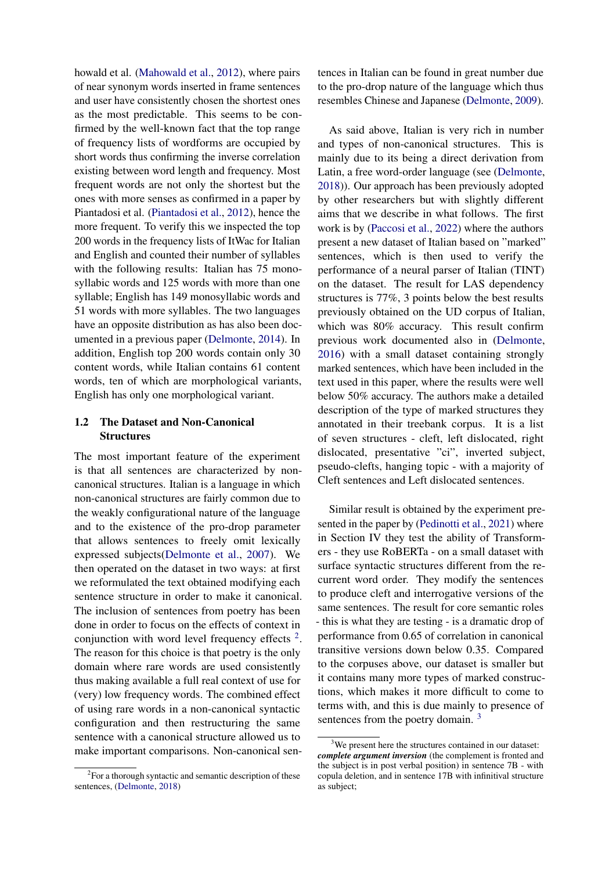howald et al. [\(Mahowald et al.,](#page-9-4) [2012\)](#page-9-4), where pairs of near synonym words inserted in frame sentences and user have consistently chosen the shortest ones as the most predictable. This seems to be confirmed by the well-known fact that the top range of frequency lists of wordforms are occupied by short words thus confirming the inverse correlation existing between word length and frequency. Most frequent words are not only the shortest but the ones with more senses as confirmed in a paper by Piantadosi et al. [\(Piantadosi et al.,](#page-9-5) [2012\)](#page-9-5), hence the more frequent. To verify this we inspected the top 200 words in the frequency lists of ItWac for Italian and English and counted their number of syllables with the following results: Italian has 75 monosyllabic words and 125 words with more than one syllable; English has 149 monosyllabic words and 51 words with more syllables. The two languages have an opposite distribution as has also been documented in a previous paper [\(Delmonte,](#page-9-2) [2014\)](#page-9-2). In addition, English top 200 words contain only 30 content words, while Italian contains 61 content words, ten of which are morphological variants, English has only one morphological variant.

### 1.2 The Dataset and Non-Canonical **Structures**

The most important feature of the experiment is that all sentences are characterized by noncanonical structures. Italian is a language in which non-canonical structures are fairly common due to the weakly configurational nature of the language and to the existence of the pro-drop parameter that allows sentences to freely omit lexically expressed subjects[\(Delmonte et al.,](#page-9-6) [2007\)](#page-9-6). We then operated on the dataset in two ways: at first we reformulated the text obtained modifying each sentence structure in order to make it canonical. The inclusion of sentences from poetry has been done in order to focus on the effects of context in conjunction with word level frequency effects  $2$ . The reason for this choice is that poetry is the only domain where rare words are used consistently thus making available a full real context of use for (very) low frequency words. The combined effect of using rare words in a non-canonical syntactic configuration and then restructuring the same sentence with a canonical structure allowed us to make important comparisons. Non-canonical sentences in Italian can be found in great number due to the pro-drop nature of the language which thus resembles Chinese and Japanese [\(Delmonte,](#page-9-8) [2009\)](#page-9-8).

As said above, Italian is very rich in number and types of non-canonical structures. This is mainly due to its being a direct derivation from Latin, a free word-order language (see [\(Delmonte,](#page-9-7) [2018\)](#page-9-7)). Our approach has been previously adopted by other researchers but with slightly different aims that we describe in what follows. The first work is by [\(Paccosi et al.,](#page-9-9) [2022\)](#page-9-9) where the authors present a new dataset of Italian based on "marked" sentences, which is then used to verify the performance of a neural parser of Italian (TINT) on the dataset. The result for LAS dependency structures is 77%, 3 points below the best results previously obtained on the UD corpus of Italian, which was 80% accuracy. This result confirm previous work documented also in [\(Delmonte,](#page-9-10) [2016\)](#page-9-10) with a small dataset containing strongly marked sentences, which have been included in the text used in this paper, where the results were well below 50% accuracy. The authors make a detailed description of the type of marked structures they annotated in their treebank corpus. It is a list of seven structures - cleft, left dislocated, right dislocated, presentative "ci", inverted subject, pseudo-clefts, hanging topic - with a majority of Cleft sentences and Left dislocated sentences.

Similar result is obtained by the experiment presented in the paper by [\(Pedinotti et al.,](#page-9-11) [2021\)](#page-9-11) where in Section IV they test the ability of Transformers - they use RoBERTa - on a small dataset with surface syntactic structures different from the recurrent word order. They modify the sentences to produce cleft and interrogative versions of the same sentences. The result for core semantic roles - this is what they are testing - is a dramatic drop of performance from 0.65 of correlation in canonical transitive versions down below 0.35. Compared to the corpuses above, our dataset is smaller but it contains many more types of marked constructions, which makes it more difficult to come to terms with, and this is due mainly to presence of sentences from the poetry domain.<sup>[3](#page-2-1)</sup>

<span id="page-2-0"></span><sup>&</sup>lt;sup>2</sup>For a thorough syntactic and semantic description of these sentences, [\(Delmonte,](#page-9-7) [2018\)](#page-9-7)

<span id="page-2-1"></span><sup>&</sup>lt;sup>3</sup>We present here the structures contained in our dataset: *complete argument inversion* (the complement is fronted and the subject is in post verbal position) in sentence 7B - with copula deletion, and in sentence 17B with infinitival structure as subject;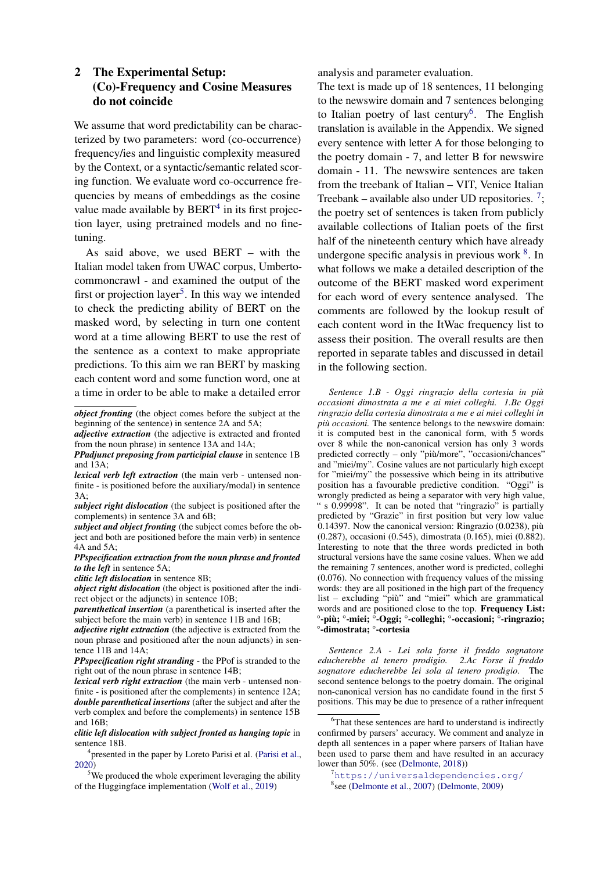## 2 The Experimental Setup: (Co)-Frequency and Cosine Measures do not coincide

We assume that word predictability can be characterized by two parameters: word (co-occurrence) frequency/ies and linguistic complexity measured by the Context, or a syntactic/semantic related scoring function. We evaluate word co-occurrence frequencies by means of embeddings as the cosine value made available by  $BERT<sup>4</sup>$  $BERT<sup>4</sup>$  $BERT<sup>4</sup>$  in its first projection layer, using pretrained models and no finetuning.

As said above, we used BERT – with the Italian model taken from UWAC corpus, Umbertocommoncrawl - and examined the output of the first or projection layer<sup>[5](#page-3-1)</sup>. In this way we intended to check the predicting ability of BERT on the masked word, by selecting in turn one content word at a time allowing BERT to use the rest of the sentence as a context to make appropriate predictions. To this aim we ran BERT by masking each content word and some function word, one at a time in order to be able to make a detailed error

*PPspecification extraction from the noun phrase and fronted to the left* in sentence 5A;

*clitic left dislocation* in sentence 8B;

*object right dislocation* (the object is positioned after the indirect object or the adjuncts) in sentence 10B;

analysis and parameter evaluation.

The text is made up of 18 sentences, 11 belonging to the newswire domain and 7 sentences belonging to Italian poetry of last century<sup>[6](#page-3-2)</sup>. The English translation is available in the Appendix. We signed every sentence with letter A for those belonging to the poetry domain - 7, and letter B for newswire domain - 11. The newswire sentences are taken from the treebank of Italian – VIT, Venice Italian Treebank – available also under UD repositories.<sup>[7](#page-3-3)</sup>; the poetry set of sentences is taken from publicly available collections of Italian poets of the first half of the nineteenth century which have already undergone specific analysis in previous work  $8$ . In what follows we make a detailed description of the outcome of the BERT masked word experiment for each word of every sentence analysed. The comments are followed by the lookup result of each content word in the ItWac frequency list to assess their position. The overall results are then reported in separate tables and discussed in detail in the following section.

*Sentence 1.B - Oggi ringrazio della cortesia in piu` occasioni dimostrata a me e ai miei colleghi. 1.Bc Oggi ringrazio della cortesia dimostrata a me e ai miei colleghi in piu occasioni. `* The sentence belongs to the newswire domain: it is computed best in the canonical form, with 5 words over 8 while the non-canonical version has only 3 words predicted correctly – only "più/more", "occasioni/chances" and "miei/my". Cosine values are not particularly high except for "miei/my" the possessive which being in its attributive position has a favourable predictive condition. "Oggi" is wrongly predicted as being a separator with very high value, " s 0.99998". It can be noted that "ringrazio" is partially predicted by "Grazie" in first position but very low value  $0.14397$ . Now the canonical version: Ringrazio  $(0.0238)$ , più (0.287), occasioni (0.545), dimostrata (0.165), miei (0.882). Interesting to note that the three words predicted in both structural versions have the same cosine values. When we add the remaining 7 sentences, another word is predicted, colleghi (0.076). No connection with frequency values of the missing words: they are all positioned in the high part of the frequency list – excluding "più" and "miei" which are grammatical words and are positioned close to the top. Frequency List:  $\degree$ -più;  $\degree$ -miei;  $\degree$ -Oggi;  $\degree$ -colleghi;  $\degree$ -occasioni;  $\degree$ -ringrazio; °-dimostrata; °-cortesia

*Sentence 2.A - Lei sola forse il freddo sognatore educherebbe al tenero prodigio. 2.Ac Forse il freddo sognatore educherebbe lei sola al tenero prodigio.* The second sentence belongs to the poetry domain. The original non-canonical version has no candidate found in the first 5 positions. This may be due to presence of a rather infrequent

*object fronting* (the object comes before the subject at the beginning of the sentence) in sentence 2A and 5A;

*adjective extraction* (the adjective is extracted and fronted from the noun phrase) in sentence 13A and 14A;

*PPadjunct preposing from participial clause* in sentence 1B and 13A;

*lexical verb left extraction* (the main verb - untensed nonfinite - is positioned before the auxiliary/modal) in sentence 3A;

*subject right dislocation* (the subject is positioned after the complements) in sentence 3A and 6B;

*subject and object fronting* (the subject comes before the object and both are positioned before the main verb) in sentence 4A and 5A;

*parenthetical insertion* (a parenthetical is inserted after the subject before the main verb) in sentence 11B and 16B;

*adjective right extraction* (the adjective is extracted from the noun phrase and positioned after the noun adjuncts) in sentence 11B and 14A;

*PPspecification right stranding* - the PPof is stranded to the right out of the noun phrase in sentence 14B;

*lexical verb right extraction* (the main verb - untensed nonfinite - is positioned after the complements) in sentence 12A; *double parenthetical insertions* (after the subject and after the verb complex and before the complements) in sentence 15B and 16B;

*clitic left dislocation with subject fronted as hanging topic* in sentence 18B.

<span id="page-3-0"></span><sup>&</sup>lt;sup>4</sup> presented in the paper by Loreto Parisi et al. [\(Parisi et al.,](#page-9-12) [2020\)](#page-9-12)

<span id="page-3-1"></span><sup>&</sup>lt;sup>5</sup>We produced the whole experiment leveraging the ability of the Huggingface implementation [\(Wolf et al.,](#page-9-13) [2019\)](#page-9-13)

<span id="page-3-2"></span><sup>&</sup>lt;sup>6</sup>That these sentences are hard to understand is indirectly confirmed by parsers' accuracy. We comment and analyze in depth all sentences in a paper where parsers of Italian have been used to parse them and have resulted in an accuracy lower than 50%. (see [\(Delmonte,](#page-9-7) [2018\)](#page-9-7))

<span id="page-3-4"></span><span id="page-3-3"></span><sup>7</sup><https://universaldependencies.org/> 8 see [\(Delmonte et al.,](#page-9-6) [2007\)](#page-9-6) [\(Delmonte,](#page-9-8) [2009\)](#page-9-8)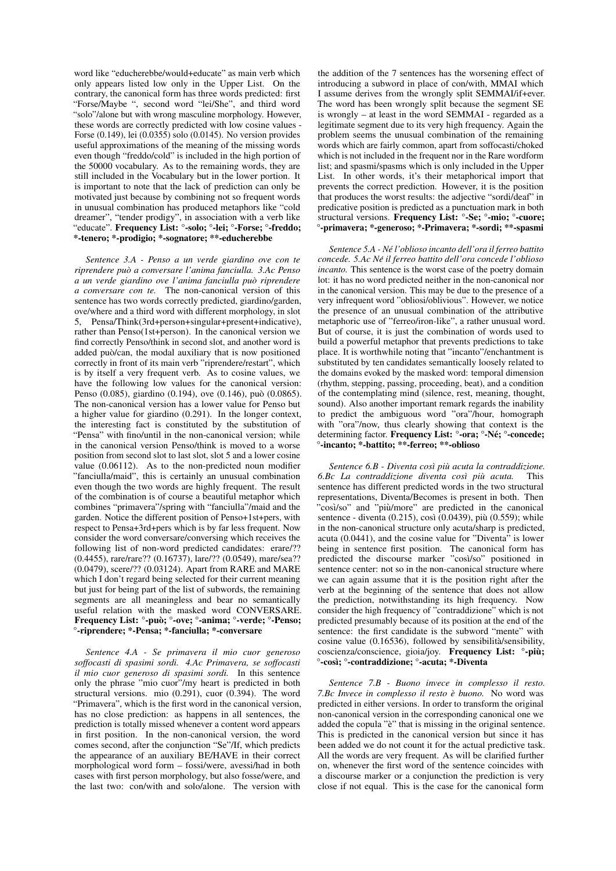word like "educherebbe/would+educate" as main verb which only appears listed low only in the Upper List. On the contrary, the canonical form has three words predicted: first "Forse/Maybe ", second word "lei/She", and third word "solo"/alone but with wrong masculine morphology. However, these words are correctly predicted with low cosine values - Forse (0.149), lei (0.0355) solo (0.0145). No version provides useful approximations of the meaning of the missing words even though "freddo/cold" is included in the high portion of the 50000 vocabulary. As to the remaining words, they are still included in the Vocabulary but in the lower portion. It is important to note that the lack of prediction can only be motivated just because by combining not so frequent words in unusual combination has produced metaphors like "cold dreamer", "tender prodigy", in association with a verb like "educate". Frequency List: °-solo; °-lei; °-Forse; °-freddo; \*-tenero; \*-prodigio; \*-sognatore; \*\*-educherebbe

*Sentence 3.A - Penso a un verde giardino ove con te riprendere puo a conversare l'anima fanciulla. 3.Ac Penso ` a un verde giardino ove l'anima fanciulla puo riprendere ` a conversare con te.* The non-canonical version of this sentence has two words correctly predicted, giardino/garden, ove/where and a third word with different morphology, in slot 5, Pensa/Think(3rd+person+singular+present+indicative), rather than Penso(1st+person). In the canonical version we find correctly Penso/think in second slot, and another word is added può/can, the modal auxiliary that is now positioned correctly in front of its main verb "riprendere/restart", which is by itself a very frequent verb. As to cosine values, we have the following low values for the canonical version: Penso (0.085), giardino (0.194), ove (0.146), può (0.0865). The non-canonical version has a lower value for Penso but a higher value for giardino (0.291). In the longer context, the interesting fact is constituted by the substitution of "Pensa" with fino/until in the non-canonical version; while in the canonical version Penso/think is moved to a worse position from second slot to last slot, slot 5 and a lower cosine value (0.06112). As to the non-predicted noun modifier "fanciulla/maid", this is certainly an unusual combination even though the two words are highly frequent. The result of the combination is of course a beautiful metaphor which combines "primavera"/spring with "fanciulla"/maid and the garden. Notice the different position of Penso+1st+pers, with respect to Pensa+3rd+pers which is by far less frequent. Now consider the word conversare/conversing which receives the following list of non-word predicted candidates: erare/?? (0.4455), rare/rare?? (0.16737), lare/?? (0.0549), mare/sea?? (0.0479), scere/?? (0.03124). Apart from RARE and MARE which I don't regard being selected for their current meaning but just for being part of the list of subwords, the remaining segments are all meaningless and bear no semantically useful relation with the masked word CONVERSARE. Frequency List: °-puo;` °-ove; °-anima; °-verde; °-Penso; °-riprendere; \*-Pensa; \*-fanciulla; \*-conversare

*Sentence 4.A - Se primavera il mio cuor generoso soffocasti di spasimi sordi. 4.Ac Primavera, se soffocasti il mio cuor generoso di spasimi sordi.* In this sentence only the phrase "mio cuor"/my heart is predicted in both structural versions. mio (0.291), cuor (0.394). The word "Primavera", which is the first word in the canonical version, has no close prediction: as happens in all sentences, the prediction is totally missed whenever a content word appears in first position. In the non-canonical version, the word comes second, after the conjunction "Se"/If, which predicts the appearance of an auxiliary BE/HAVE in their correct morphological word form – fossi/were, avessi/had in both cases with first person morphology, but also fosse/were, and the last two: con/with and solo/alone. The version with

the addition of the 7 sentences has the worsening effect of introducing a subword in place of con/with, MMAI which I assume derives from the wrongly split SEMMAI/if+ever. The word has been wrongly split because the segment SE is wrongly – at least in the word SEMMAI - regarded as a legitimate segment due to its very high frequency. Again the problem seems the unusual combination of the remaining words which are fairly common, apart from soffocasti/choked which is not included in the frequent nor in the Rare wordform list; and spasmi/spasms which is only included in the Upper List. In other words, it's their metaphorical import that prevents the correct prediction. However, it is the position that produces the worst results: the adjective "sordi/deaf" in predicative position is predicted as a punctuation mark in both structural versions. Frequency List: °-Se; °-mio; °-cuore; °-primavera; \*-generoso; \*-Primavera; \*-sordi; \*\*-spasmi

*Sentence 5.A - Ne l'oblioso incanto dell'ora il ferreo battito ´ concede. 5.Ac Ne il ferreo battito dell'ora concede l'oblioso ´ incanto.* This sentence is the worst case of the poetry domain lot: it has no word predicted neither in the non-canonical nor in the canonical version. This may be due to the presence of a very infrequent word "obliosi/oblivious". However, we notice the presence of an unusual combination of the attributive metaphoric use of "ferreo/iron-like", a rather unusual word. But of course, it is just the combination of words used to build a powerful metaphor that prevents predictions to take place. It is worthwhile noting that "incanto"/enchantment is substituted by ten candidates semantically loosely related to the domains evoked by the masked word: temporal dimension (rhythm, stepping, passing, proceeding, beat), and a condition of the contemplating mind (silence, rest, meaning, thought, sound). Also another important remark regards the inability to predict the ambiguous word "ora"/hour, homograph with "ora"/now, thus clearly showing that context is the determining factor. Frequency List: °-ora; °-Né; °-concede; °-incanto; \*-battito; \*\*-ferreo; \*\*-oblioso

*Sentence 6.B - Diventa cos`ı piu acuta la contraddizione. ` 6.Bc La contraddizione diventa cos`ı piu acuta. `* This sentence has different predicted words in the two structural representations, Diventa/Becomes is present in both. Then "così/so" and "più/more" are predicted in the canonical sentence - diventa (0.215), così (0.0439), più (0.559); while in the non-canonical structure only acuta/sharp is predicted, acuta (0.0441), and the cosine value for "Diventa" is lower being in sentence first position. The canonical form has predicted the discourse marker "così/so" positioned in sentence center: not so in the non-canonical structure where we can again assume that it is the position right after the verb at the beginning of the sentence that does not allow the prediction, notwithstanding its high frequency. Now consider the high frequency of "contraddizione" which is not predicted presumably because of its position at the end of the sentence: the first candidate is the subword "mente" with cosine value  $(0.16536)$ , followed by sensibilità/sensibility, coscienza/conscience, gioia/joy. Frequency List: °-più; °-così; °-contraddizione; °-acuta; \*-Diventa

*Sentence 7.B - Buono invece in complesso il resto. 7.Bc Invece in complesso il resto e buono. `* No word was predicted in either versions. In order to transform the original non-canonical version in the corresponding canonical one we added the copula "è" that is missing in the original sentence. This is predicted in the canonical version but since it has been added we do not count it for the actual predictive task. All the words are very frequent. As will be clarified further on, whenever the first word of the sentence coincides with a discourse marker or a conjunction the prediction is very close if not equal. This is the case for the canonical form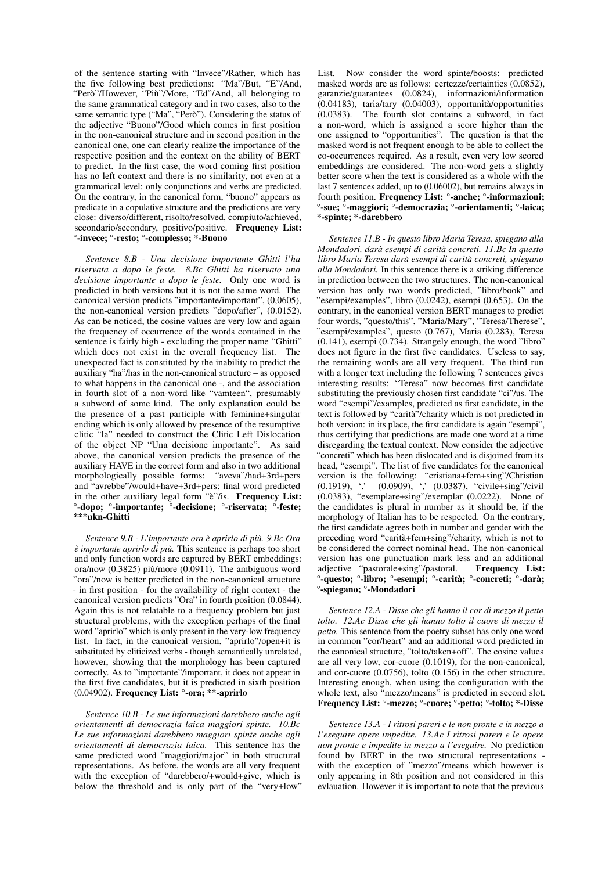of the sentence starting with "Invece"/Rather, which has the five following best predictions: "Ma"/But, "E"/And, "Però"/However, "Più"/More, "Ed"/And, all belonging to the same grammatical category and in two cases, also to the same semantic type ("Ma", "Però"). Considering the status of the adjective "Buono"/Good which comes in first position in the non-canonical structure and in second position in the canonical one, one can clearly realize the importance of the respective position and the context on the ability of BERT to predict. In the first case, the word coming first position has no left context and there is no similarity, not even at a grammatical level: only conjunctions and verbs are predicted. On the contrary, in the canonical form, "buono" appears as predicate in a copulative structure and the predictions are very close: diverso/different, risolto/resolved, compiuto/achieved, secondario/secondary, positivo/positive. Frequency List: °-invece; °-resto; °-complesso; \*-Buono

*Sentence 8.B - Una decisione importante Ghitti l'ha riservata a dopo le feste. 8.Bc Ghitti ha riservato una decisione importante a dopo le feste.* Only one word is predicted in both versions but it is not the same word. The canonical version predicts "importante/important",  $(0,0605)$ , the non-canonical version predicts "dopo/after", (0.0152). As can be noticed, the cosine values are very low and again the frequency of occurrence of the words contained in the sentence is fairly high - excluding the proper name "Ghitti" which does not exist in the overall frequency list. The unexpected fact is constituted by the inability to predict the auxiliary "ha"/has in the non-canonical structure – as opposed to what happens in the canonical one -, and the association in fourth slot of a non-word like "vamteen", presumably a subword of some kind. The only explanation could be the presence of a past participle with feminine+singular ending which is only allowed by presence of the resumptive clitic "la" needed to construct the Clitic Left Dislocation of the object NP "Una decisione importante". As said above, the canonical version predicts the presence of the auxiliary HAVE in the correct form and also in two additional morphologically possible forms: "aveva"/had+3rd+pers and "avrebbe"/would+have+3rd+pers; final word predicted in the other auxiliary legal form "è"/is. Frequency List: °-dopo; °-importante; °-decisione; °-riservata; °-feste; \*\*\*ukn-Ghitti

*Sentence* 9.B - L'importante ora è aprirlo di più. 9.Bc Ora *è importante aprirlo di più*. This sentence is perhaps too short and only function words are captured by BERT embeddings: ora/now  $(0.3825)$  più/more  $(0.0911)$ . The ambiguous word "ora"/now is better predicted in the non-canonical structure - in first position - for the availability of right context - the canonical version predicts "Ora" in fourth position (0.0844). Again this is not relatable to a frequency problem but just structural problems, with the exception perhaps of the final word "aprirlo" which is only present in the very-low frequency list. In fact, in the canonical version, "aprirlo"/open+it is substituted by cliticized verbs - though semantically unrelated, however, showing that the morphology has been captured correctly. As to "importante"/important, it does not appear in the first five candidates, but it is predicted in sixth position (0.04902). Frequency List: °-ora; \*\*-aprirlo

*Sentence 10.B - Le sue informazioni darebbero anche agli orientamenti di democrazia laica maggiori spinte. 10.Bc Le sue informazioni darebbero maggiori spinte anche agli orientamenti di democrazia laica.* This sentence has the same predicted word "maggiori/major" in both structural representations. As before, the words are all very frequent with the exception of "darebbero/+would+give, which is below the threshold and is only part of the "very+low"

List. Now consider the word spinte/boosts: predicted masked words are as follows: certezze/certainties (0.0852), garanzie/guarantees (0.0824), informazioni/information  $(0.04183)$ , taria/tary  $(0.04003)$ , opportunità/opportunities (0.0383). The fourth slot contains a subword, in fact a non-word, which is assigned a score higher than the one assigned to "opportunities". The question is that the masked word is not frequent enough to be able to collect the co-occurrences required. As a result, even very low scored embeddings are considered. The non-word gets a slightly better score when the text is considered as a whole with the last 7 sentences added, up to (0.06002), but remains always in fourth position. Frequency List: °-anche; °-informazioni; °-sue; °-maggiori; °-democrazia; °-orientamenti; °-laica; \*-spinte; \*-darebbero

*Sentence 11.B - In questo libro Maria Teresa, spiegano alla Mondadori, darà esempi di carità concreti. 11.Bc In questo libro Maria Teresa dara esempi di carit ` a concreti, spiegano ` alla Mondadori.* In this sentence there is a striking difference in prediction between the two structures. The non-canonical version has only two words predicted, "libro/book" and "esempi/examples", libro  $(0.0242)$ , esempi  $(0.653)$ . On the contrary, in the canonical version BERT manages to predict four words, "questo/this", "Maria/Mary", "Teresa/Therese", "esempi/examples", questo (0.767), Maria (0.283), Teresa (0.141), esempi (0.734). Strangely enough, the word "libro" does not figure in the first five candidates. Useless to say, the remaining words are all very frequent. The third run with a longer text including the following 7 sentences gives interesting results: "Teresa" now becomes first candidate substituting the previously chosen first candidate "ci"/us. The word "esempi"/examples, predicted as first candidate, in the text is followed by "carita"/charity which is not predicted in ` both version: in its place, the first candidate is again "esempi", thus certifying that predictions are made one word at a time disregarding the textual context. Now consider the adjective "concreti" which has been dislocated and is disjoined from its head, "esempi". The list of five candidates for the canonical version is the following: "cristiana+fem+sing"/Christian (0.1919), '.' (0.0909), ',' (0.0387), "civile+sing"/civil  $(0.0383)$ , "esemplare+sing"/exemplar  $(0.0222)$ . None of the candidates is plural in number as it should be, if the morphology of Italian has to be respected. On the contrary, the first candidate agrees both in number and gender with the preceding word "carita+fem+sing"/charity, which is not to ` be considered the correct nominal head. The non-canonical version has one punctuation mark less and an additional adjective "pastorale+sing"/pastoral. Frequency List: <sup>o</sup>-questo; °-libro; °-esempi; °-carità; °-concreti; °-darà; °-spiegano; °-Mondadori

*Sentence 12.A - Disse che gli hanno il cor di mezzo il petto tolto. 12.Ac Disse che gli hanno tolto il cuore di mezzo il petto.* This sentence from the poetry subset has only one word in common "cor/heart" and an additional word predicted in the canonical structure, "tolto/taken+off". The cosine values are all very low, cor-cuore (0.1019), for the non-canonical, and cor-cuore (0.0756), tolto (0.156) in the other structure. Interesting enough, when using the configuration with the whole text, also "mezzo/means" is predicted in second slot. Frequency List: °-mezzo; °-cuore; °-petto; °-tolto; \*-Disse

*Sentence 13.A - I ritrosi pareri e le non pronte e in mezzo a l'eseguire opere impedite. 13.Ac I ritrosi pareri e le opere non pronte e impedite in mezzo a l'eseguire.* No prediction found by BERT in the two structural representations with the exception of "mezzo"/means which however is only appearing in 8th position and not considered in this evlauation. However it is important to note that the previous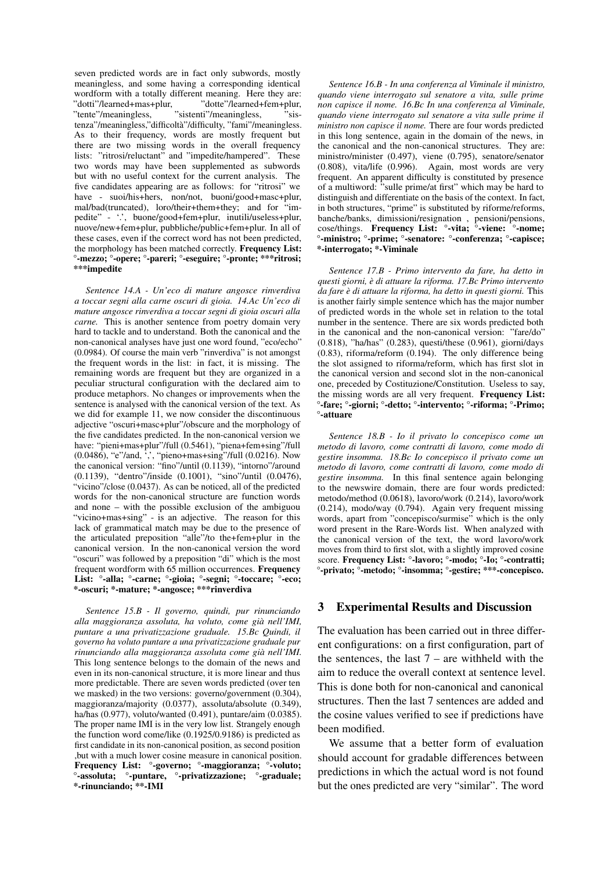seven predicted words are in fact only subwords, mostly meaningless, and some having a corresponding identical wordform with a totally different meaning. Here they are:<br>"dotti"/learned+mas+plur, "dotte"/learned+fem+plur, "dotti"/learned+mas+plur,<br>"tente"/meaningless, "sistenti"/meaningless, "sistenza"/meaningless,"difficolta"/difficulty, "fami"/meaningless. ` As to their frequency, words are mostly frequent but there are two missing words in the overall frequency lists: "ritrosi/reluctant" and "impedite/hampered". These two words may have been supplemented as subwords but with no useful context for the current analysis. The five candidates appearing are as follows: for "ritrosi" we have - suoi/his+hers, non/not, buoni/good+masc+plur, mal/bad(truncated), loro/their+them+they; and for "impedite" - '.', buone/good+fem+plur, inutili/useless+plur, nuove/new+fem+plur, pubbliche/public+fem+plur. In all of these cases, even if the correct word has not been predicted, the morphology has been matched correctly. Frequency List: °-mezzo; °-opere; °-pareri; °-eseguire; °-pronte; \*\*\*ritrosi; \*\*\*impedite

*Sentence 14.A - Un'eco di mature angosce rinverdiva a toccar segni alla carne oscuri di gioia. 14.Ac Un'eco di mature angosce rinverdiva a toccar segni di gioia oscuri alla carne.* This is another sentence from poetry domain very hard to tackle and to understand. Both the canonical and the non-canonical analyses have just one word found, "eco/echo" (0.0984). Of course the main verb "rinverdiva" is not amongst the frequent words in the list: in fact, it is missing. The remaining words are frequent but they are organized in a peculiar structural configuration with the declared aim to produce metaphors. No changes or improvements when the sentence is analysed with the canonical version of the text. As we did for example 11, we now consider the discontinuous adjective "oscuri+masc+plur"/obscure and the morphology of the five candidates predicted. In the non-canonical version we have: "pieni+mas+plur"/full (0.5461), "piena+fem+sing"/full (0.0486), "e"/and, ',', "pieno+mas+sing"/full (0.0216). Now the canonical version: "fino"/until (0.1139), "intorno"/around (0.1139), "dentro"/inside (0.1001), "sino"/until (0.0476), "vicino"/close (0.0437). As can be noticed, all of the predicted words for the non-canonical structure are function words and none – with the possible exclusion of the ambiguou "vicino+mas+sing" - is an adjective. The reason for this lack of grammatical match may be due to the presence of the articulated preposition "alle"/to the+fem+plur in the canonical version. In the non-canonical version the word "oscuri" was followed by a preposition "di" which is the most frequent wordform with 65 million occurrences. Frequency List: °-alla; °-carne; °-gioia; °-segni; °-toccare; °-eco; \*-oscuri; \*-mature; \*-angosce; \*\*\*rinverdiva

*Sentence 15.B - Il governo, quindi, pur rinunciando alla maggioranza assoluta, ha voluto, come gia nell'IMI, ` puntare a una privatizzazione graduale. 15.Bc Quindi, il governo ha voluto puntare a una privatizzazione graduale pur rinunciando alla maggioranza assoluta come gia nell'IMI. `* This long sentence belongs to the domain of the news and even in its non-canonical structure, it is more linear and thus more predictable. There are seven words predicted (over ten we masked) in the two versions: governo/government (0.304), maggioranza/majority (0.0377), assoluta/absolute (0.349), ha/has (0.977), voluto/wanted (0.491), puntare/aim (0.0385). The proper name IMI is in the very low list. Strangely enough the function word come/like (0.1925/0.9186) is predicted as first candidate in its non-canonical position, as second position ,but with a much lower cosine measure in canonical position. Frequency List: °-governo; °-maggioranza; °-voluto; °-assoluta; °-puntare, °-privatizzazione; °-graduale; \*-rinunciando; \*\*-IMI

*Sentence 16.B - In una conferenza al Viminale il ministro, quando viene interrogato sul senatore a vita, sulle prime non capisce il nome. 16.Bc In una conferenza al Viminale, quando viene interrogato sul senatore a vita sulle prime il ministro non capisce il nome.* There are four words predicted in this long sentence, again in the domain of the news, in the canonical and the non-canonical structures. They are: ministro/minister (0.497), viene (0.795), senatore/senator (0.808), vita/life (0.996). Again, most words are very frequent. An apparent difficulty is constituted by presence of a multiword: "sulle prime/at first" which may be hard to distinguish and differentiate on the basis of the context. In fact, in both structures, "prime" is substituted by riforme/reforms, banche/banks, dimissioni/resignation , pensioni/pensions, cose/things. Frequency List: °-vita; °-viene: °-nome; °-ministro; °-prime; °-senatore: °-conferenza; °-capisce; \*-interrogato; \*-Viminale

*Sentence 17.B - Primo intervento da fare, ha detto in questi giorni, e di attuare la riforma. 17.Bc Primo intervento ` da fare e di attuare la riforma, ha detto in questi giorni. `* This is another fairly simple sentence which has the major number of predicted words in the whole set in relation to the total number in the sentence. There are six words predicted both in the canonical and the non-canonical version: "fare/do" (0.818), "ha/has" (0.283), questi/these (0.961), giorni/days (0.83), riforma/reform (0.194). The only difference being the slot assigned to riforma/reform, which has first slot in the canonical version and second slot in the non-canonical one, preceded by Costituzione/Constitution. Useless to say, the missing words are all very frequent. Frequency List: °-fare; °-giorni; °-detto; °-intervento; °-riforma; °-Primo; °-attuare

*Sentence 18.B - Io il privato lo concepisco come un metodo di lavoro, come contratti di lavoro, come modo di gestire insomma. 18.Bc Io concepisco il privato come un metodo di lavoro, come contratti di lavoro, come modo di gestire insomma.* In this final sentence again belonging to the newswire domain, there are four words predicted: metodo/method (0.0618), lavoro/work (0.214), lavoro/work  $(0.214)$ , modo/way  $(0.794)$ . Again very frequent missing words, apart from "concepisco/surmise" which is the only word present in the Rare-Words list. When analyzed with the canonical version of the text, the word lavoro/work moves from third to first slot, with a slightly improved cosine score. Frequency List: °-lavoro; °-modo; °-Io; °-contratti; °-privato; °-metodo; °-insomma; °-gestire; \*\*\*-concepisco.

#### 3 Experimental Results and Discussion

The evaluation has been carried out in three different configurations: on a first configuration, part of the sentences, the last  $7$  – are withheld with the aim to reduce the overall context at sentence level. This is done both for non-canonical and canonical structures. Then the last 7 sentences are added and the cosine values verified to see if predictions have been modified.

We assume that a better form of evaluation should account for gradable differences between predictions in which the actual word is not found but the ones predicted are very "similar". The word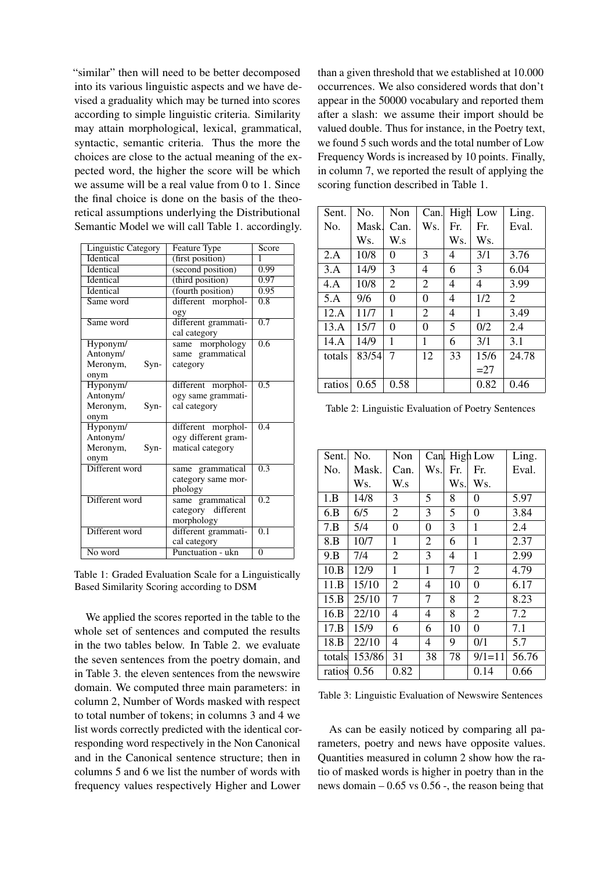"similar" then will need to be better decomposed into its various linguistic aspects and we have devised a graduality which may be turned into scores according to simple linguistic criteria. Similarity may attain morphological, lexical, grammatical, syntactic, semantic criteria. Thus the more the choices are close to the actual meaning of the expected word, the higher the score will be which we assume will be a real value from 0 to 1. Since the final choice is done on the basis of the theoretical assumptions underlying the Distributional Semantic Model we will call Table 1. accordingly.

| <b>Linguistic Category</b> | <b>Feature Type</b> | Score            |
|----------------------------|---------------------|------------------|
| <b>Identical</b>           | (first position)    | 1                |
| <b>Identical</b>           | (second position)   | 0.99             |
| Identical                  | (third position)    | 0.97             |
| Identical                  | (fourth position)   | 0.95             |
| Same word                  | different morphol-  | $\overline{0.8}$ |
|                            | ogy                 |                  |
| Same word                  | different grammati- | $\overline{0.7}$ |
|                            | cal category        |                  |
| Hyponym/                   | same morphology     | 0.6              |
| Antonym/                   | same grammatical    |                  |
| Meronym,<br>$Syn-$         | category            |                  |
| onym                       |                     |                  |
| Hyponym/                   | different morphol-  | 0.5              |
| Antonym/                   | ogy same grammati-  |                  |
| Meronym,<br>$Syn-$         | cal category        |                  |
| onym                       |                     |                  |
| Hyponym/                   | different morphol-  | 0.4              |
| Antonym/                   | ogy different gram- |                  |
| Meronym,<br>$Syn-$         | matical category    |                  |
| onym                       |                     |                  |
| Different word             | same grammatical    | $\overline{0.3}$ |
|                            | category same mor-  |                  |
|                            | phology             |                  |
| Different word             | same grammatical    | 0.2              |
|                            | category different  |                  |
|                            | morphology          |                  |
| Different word             | different grammati- | $\overline{0.1}$ |
|                            | cal category        |                  |
| No word                    | Punctuation - ukn   | $\overline{0}$   |

Table 1: Graded Evaluation Scale for a Linguistically Based Similarity Scoring according to DSM

We applied the scores reported in the table to the whole set of sentences and computed the results in the two tables below. In Table 2. we evaluate the seven sentences from the poetry domain, and in Table 3. the eleven sentences from the newswire domain. We computed three main parameters: in column 2, Number of Words masked with respect to total number of tokens; in columns 3 and 4 we list words correctly predicted with the identical corresponding word respectively in the Non Canonical and in the Canonical sentence structure; then in columns 5 and 6 we list the number of words with frequency values respectively Higher and Lower

than a given threshold that we established at 10.000 occurrences. We also considered words that don't appear in the 50000 vocabulary and reported them after a slash: we assume their import should be valued double. Thus for instance, in the Poetry text, we found 5 such words and the total number of Low Frequency Words is increased by 10 points. Finally, in column 7, we reported the result of applying the scoring function described in Table 1.

| Sent.  | No.   | Non            | Can.     |     | High Low     | Ling. |
|--------|-------|----------------|----------|-----|--------------|-------|
| No.    | Mask. | Can.           | Ws.      | Fr. | Fr.          | Eval. |
|        | Ws.   | W.s            |          | Ws. | Ws.          |       |
| 2.A    | 10/8  | $\theta$       | 3        | 4   | 3/1          | 3.76  |
| 3.A    | 14/9  | 3              | 4        | 6   | 3            | 6.04  |
| 4.A    | 10/8  | $\overline{2}$ | 2        | 4   | 4            | 3.99  |
| 5.A    | 9/6   | $\overline{0}$ | 0        | 4   | 1/2          | 2     |
| 12.A   | 11/7  | 1              | 2        | 4   | $\mathbf{1}$ | 3.49  |
| 13.A   | 15/7  | $\overline{0}$ | $\theta$ | 5   | 0/2          | 2.4   |
| 14.A   | 14/9  | 1              | 1        | 6   | 3/1          | 3.1   |
| totals | 83/54 | 7              | 12       | 33  | 15/6         | 24.78 |
|        |       |                |          |     | $=27$        |       |
| ratios | 0.65  | 0.58           |          |     | 0.82         | 0.46  |

Table 2: Linguistic Evaluation of Poetry Sentences

| Sent.  | No.    | Non            |                |     | Can. High Low    | Ling. |
|--------|--------|----------------|----------------|-----|------------------|-------|
| No.    | Mask.  | Can.           | Ws.            | Fr. | Fr.              | Eval. |
|        | Ws.    | W.s            |                | Ws. | Ws.              |       |
| 1.B    | 14/8   | 3              | 5              | 8   | 0                | 5.97  |
| 6.B    | 6/5    | $\overline{c}$ | 3              | 5   | $\boldsymbol{0}$ | 3.84  |
| 7.B    | 5/4    | 0              | 0              | 3   | $\mathbf{1}$     | 2.4   |
| 8.B    | 10/7   | 1              | $\overline{c}$ | 6   | 1                | 2.37  |
| 9.B    | 7/4    | $\overline{c}$ | 3              | 4   | $\mathbf{1}$     | 2.99  |
| 10.B   | 12/9   | 1              | 1              | 7   | $\overline{2}$   | 4.79  |
| 11.B   | 15/10  | $\overline{2}$ | 4              | 10  | $\overline{0}$   | 6.17  |
| 15.B   | 25/10  | 7              | 7              | 8   | $\overline{2}$   | 8.23  |
| 16.B   | 22/10  | 4              | 4              | 8   | $\overline{2}$   | 7.2   |
| 17.B   | 15/9   | 6              | 6              | 10  | $\overline{0}$   | 7.1   |
| 18.B   | 22/10  | 4              | 4              | 9   | 0/1              | 5.7   |
| totals | 153/86 | 31             | 38             | 78  | $9/1=11$         | 56.76 |
| ratios | 0.56   | 0.82           |                |     | 0.14             | 0.66  |

Table 3: Linguistic Evaluation of Newswire Sentences

As can be easily noticed by comparing all parameters, poetry and news have opposite values. Quantities measured in column 2 show how the ratio of masked words is higher in poetry than in the news domain – 0.65 vs 0.56 -, the reason being that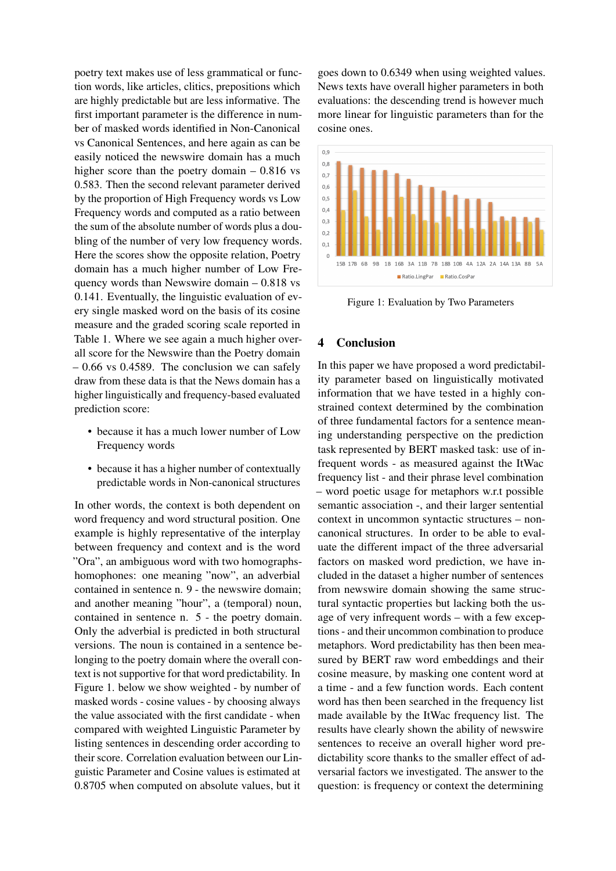poetry text makes use of less grammatical or function words, like articles, clitics, prepositions which are highly predictable but are less informative. The first important parameter is the difference in number of masked words identified in Non-Canonical vs Canonical Sentences, and here again as can be easily noticed the newswire domain has a much higher score than the poetry domain – 0.816 vs 0.583. Then the second relevant parameter derived by the proportion of High Frequency words vs Low Frequency words and computed as a ratio between the sum of the absolute number of words plus a doubling of the number of very low frequency words. Here the scores show the opposite relation, Poetry domain has a much higher number of Low Frequency words than Newswire domain – 0.818 vs 0.141. Eventually, the linguistic evaluation of every single masked word on the basis of its cosine measure and the graded scoring scale reported in Table 1. Where we see again a much higher overall score for the Newswire than the Poetry domain  $-0.66$  vs 0.4589. The conclusion we can safely draw from these data is that the News domain has a higher linguistically and frequency-based evaluated prediction score:

- because it has a much lower number of Low Frequency words
- because it has a higher number of contextually predictable words in Non-canonical structures

In other words, the context is both dependent on word frequency and word structural position. One example is highly representative of the interplay between frequency and context and is the word "Ora", an ambiguous word with two homographshomophones: one meaning "now", an adverbial contained in sentence n. 9 - the newswire domain; and another meaning "hour", a (temporal) noun, contained in sentence n. 5 - the poetry domain. Only the adverbial is predicted in both structural versions. The noun is contained in a sentence belonging to the poetry domain where the overall context is not supportive for that word predictability. In Figure 1. below we show weighted - by number of masked words - cosine values - by choosing always the value associated with the first candidate - when compared with weighted Linguistic Parameter by listing sentences in descending order according to their score. Correlation evaluation between our Linguistic Parameter and Cosine values is estimated at 0.8705 when computed on absolute values, but it

goes down to 0.6349 when using weighted values. News texts have overall higher parameters in both evaluations: the descending trend is however much more linear for linguistic parameters than for the cosine ones.



Figure 1: Evaluation by Two Parameters

### 4 Conclusion

In this paper we have proposed a word predictability parameter based on linguistically motivated information that we have tested in a highly constrained context determined by the combination of three fundamental factors for a sentence meaning understanding perspective on the prediction task represented by BERT masked task: use of infrequent words - as measured against the ItWac frequency list - and their phrase level combination – word poetic usage for metaphors w.r.t possible semantic association -, and their larger sentential context in uncommon syntactic structures – noncanonical structures. In order to be able to evaluate the different impact of the three adversarial factors on masked word prediction, we have included in the dataset a higher number of sentences from newswire domain showing the same structural syntactic properties but lacking both the usage of very infrequent words – with a few exceptions - and their uncommon combination to produce metaphors. Word predictability has then been measured by BERT raw word embeddings and their cosine measure, by masking one content word at a time - and a few function words. Each content word has then been searched in the frequency list made available by the ItWac frequency list. The results have clearly shown the ability of newswire sentences to receive an overall higher word predictability score thanks to the smaller effect of adversarial factors we investigated. The answer to the question: is frequency or context the determining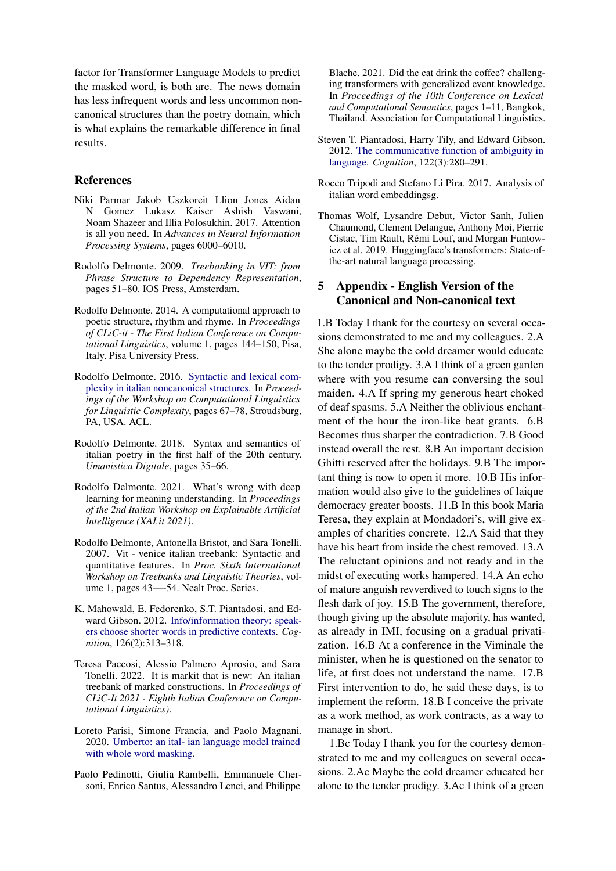factor for Transformer Language Models to predict the masked word, is both are. The news domain has less infrequent words and less uncommon noncanonical structures than the poetry domain, which is what explains the remarkable difference in final results.

### **References**

- <span id="page-9-0"></span>Niki Parmar Jakob Uszkoreit Llion Jones Aidan N Gomez Lukasz Kaiser Ashish Vaswani, Noam Shazeer and Illia Polosukhin. 2017. Attention is all you need. In *Advances in Neural Information Processing Systems*, pages 6000–6010.
- <span id="page-9-8"></span>Rodolfo Delmonte. 2009. *Treebanking in VIT: from Phrase Structure to Dependency Representation*, pages 51–80. IOS Press, Amsterdam.
- <span id="page-9-2"></span>Rodolfo Delmonte. 2014. A computational approach to poetic structure, rhythm and rhyme. In *Proceedings of CLiC-it - The First Italian Conference on Computational Linguistics*, volume 1, pages 144–150, Pisa, Italy. Pisa University Press.
- <span id="page-9-10"></span>Rodolfo Delmonte. 2016. [Syntactic and lexical com](http://aclweb.org/anthology/W/W16/W16-4108.pdf)[plexity in italian noncanonical structures.](http://aclweb.org/anthology/W/W16/W16-4108.pdf) In *Proceedings of the Workshop on Computational Linguistics for Linguistic Complexity*, pages 67–78, Stroudsburg, PA, USA. ACL.
- <span id="page-9-7"></span>Rodolfo Delmonte. 2018. Syntax and semantics of italian poetry in the first half of the 20th century. *Umanistica Digitale*, pages 35–66.
- <span id="page-9-1"></span>Rodolfo Delmonte. 2021. What's wrong with deep learning for meaning understanding. In *Proceedings of the 2nd Italian Workshop on Explainable Artificial Intelligence (XAI.it 2021)*.
- <span id="page-9-6"></span>Rodolfo Delmonte, Antonella Bristot, and Sara Tonelli. 2007. Vit - venice italian treebank: Syntactic and quantitative features. In *Proc. Sixth International Workshop on Treebanks and Linguistic Theories*, volume 1, pages 43—-54. Nealt Proc. Series.
- <span id="page-9-4"></span>K. Mahowald, E. Fedorenko, S.T. Piantadosi, and Edward Gibson. 2012. [Info/information theory: speak](https://doi.org/10.1016/j.cognition.2012.09.010)[ers choose shorter words in predictive contexts.](https://doi.org/10.1016/j.cognition.2012.09.010) *Cognition*, 126(2):313–318.
- <span id="page-9-9"></span>Teresa Paccosi, Alessio Palmero Aprosio, and Sara Tonelli. 2022. It is markit that is new: An italian treebank of marked constructions. In *Proceedings of CLiC-It 2021 - Eighth Italian Conference on Computational Linguistics)*.
- <span id="page-9-12"></span>Loreto Parisi, Simone Francia, and Paolo Magnani. 2020. [Umberto: an ital- ian language model trained](https://github.com/ musixmatchresearch/umberto) [with whole word masking.](https://github.com/ musixmatchresearch/umberto)
- <span id="page-9-11"></span>Paolo Pedinotti, Giulia Rambelli, Emmanuele Chersoni, Enrico Santus, Alessandro Lenci, and Philippe

Blache. 2021. Did the cat drink the coffee? challenging transformers with generalized event knowledge. In *Proceedings of the 10th Conference on Lexical and Computational Semantics*, pages 1–11, Bangkok, Thailand. Association for Computational Linguistics.

- <span id="page-9-5"></span>Steven T. Piantadosi, Harry Tily, and Edward Gibson. 2012. [The communicative function of ambiguity in](https://doi.org/10.1016/j.cognition.2011.10.004) [language.](https://doi.org/10.1016/j.cognition.2011.10.004) *Cognition*, 122(3):280–291.
- <span id="page-9-3"></span>Rocco Tripodi and Stefano Li Pira. 2017. Analysis of italian word embeddingsg.
- <span id="page-9-13"></span>Thomas Wolf, Lysandre Debut, Victor Sanh, Julien Chaumond, Clement Delangue, Anthony Moi, Pierric Cistac, Tim Rault, Rémi Louf, and Morgan Funtowicz et al. 2019. Huggingface's transformers: State-ofthe-art natural language processing.

## 5 Appendix - English Version of the Canonical and Non-canonical text

1.B Today I thank for the courtesy on several occasions demonstrated to me and my colleagues. 2.A She alone maybe the cold dreamer would educate to the tender prodigy. 3.A I think of a green garden where with you resume can conversing the soul maiden. 4.A If spring my generous heart choked of deaf spasms. 5.A Neither the oblivious enchantment of the hour the iron-like beat grants. 6.B Becomes thus sharper the contradiction. 7.B Good instead overall the rest. 8.B An important decision Ghitti reserved after the holidays. 9.B The important thing is now to open it more. 10.B His information would also give to the guidelines of laique democracy greater boosts. 11.B In this book Maria Teresa, they explain at Mondadori's, will give examples of charities concrete. 12.A Said that they have his heart from inside the chest removed. 13.A The reluctant opinions and not ready and in the midst of executing works hampered. 14.A An echo of mature anguish revverdived to touch signs to the flesh dark of joy. 15.B The government, therefore, though giving up the absolute majority, has wanted, as already in IMI, focusing on a gradual privatization. 16.B At a conference in the Viminale the minister, when he is questioned on the senator to life, at first does not understand the name. 17.B First intervention to do, he said these days, is to implement the reform. 18.B I conceive the private as a work method, as work contracts, as a way to manage in short.

1.Bc Today I thank you for the courtesy demonstrated to me and my colleagues on several occasions. 2.Ac Maybe the cold dreamer educated her alone to the tender prodigy. 3.Ac I think of a green